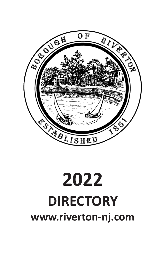

# **2022 DIRECTORY [www.riverton-nj.com](http://www.riverton-nj.com/)**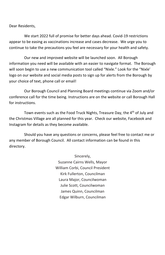Dear Residents,

We start 2022 full of promise for better days ahead. Covid-19 restrictions appear to be easing as vaccinations increase and cases decrease. We urge you to continue to take the precautions you feel are necessary for your health and safety.

Our new and improved website will be launched soon. All Borough information you need will be available with an easier to navigate format. The Borough will soon begin to use a new communication tool called "Nixle." Look for the "Nixle' logo on our website and social media posts to sign up for alerts from the Borough by your choice of text, phone call or email!

Our Borough Council and Planning Board meetings continue via Zoom and/or conference call for the time being. Instructions are on the website or call Borough Hall for instructions.

Town events such as the Food Truck Nights, Treasure Day, the 4<sup>th</sup> of July and the Christmas Village are all planned for this year. Check our website, Facebook and Instagram for details as they become available.

Should you have any questions or concerns, please feel free to contact me or any member of Borough Council. All contact information can be found in this directory.

> Sincerely, Suzanne Cairns Wells, Mayor William Corbi, Council President Kirk Fullerton, Councilman Laura Major, Councilwoman Julie Scott, Councilwoman James Quinn, Councilman Edgar Wilburn, Councilman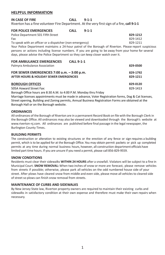# **HELPFUL INFORMATION**

| IN CASE OF FIRE<br>Riverton has a fine volunteer Fire Department. At the very first sign of a fire, call 9-1-1                                                                                                                                                                                                                                                                                                                               | <b>CALL</b>       | $9 - 1 - 1$ |                                  |
|----------------------------------------------------------------------------------------------------------------------------------------------------------------------------------------------------------------------------------------------------------------------------------------------------------------------------------------------------------------------------------------------------------------------------------------------|-------------------|-------------|----------------------------------|
| <b>FOR POLICE EMERGENCIES</b><br>Police Department 501 Fifth Street<br>Fax<br>To speak with an officer or a dispatcher (non-emergency)<br>Your Police Department maintains a 24-hour patrol of the Borough of Riverton. Please report suspicious<br>persons or actions including license numbers. If you are going to be away from your home for several<br>days, please advise the Police Department so they can keep closer watch over it. | <b>CALL</b>       | $9 - 1 - 1$ | 829-1212<br>829-1412<br>829-1211 |
| <b>FOR AMBULANCE EMERGENCIES</b><br>Palmyra Ambulance Association                                                                                                                                                                                                                                                                                                                                                                            | <b>CALL 9-1-1</b> |             | 829-0500                         |
| FOR SEWER EMERGENCIES 7:00 a.m. - 3:00 p.m.<br>AFTER HOURS & HOLIDAY SEWER EMERGENCIES                                                                                                                                                                                                                                                                                                                                                       |                   |             | 829-1792<br>829-1211             |
|                                                                                                                                                                                                                                                                                                                                                                                                                                              |                   |             | --- ----                         |

**BOROUGH OFFICES 829-0120** 505A Howard Street Fax: 829-1413

Borough Office hours are 8:30 A.M. to 4:00 P.M. Monday thru Friday

Marriage licenses appointments must be made in advance, Voter Registration forms, Dog & Cat licenses, Street opening, Building and Zoning permits, Annual Business Registration Forms are obtained at the Borough Hall or on the Borough website.

#### **ORDINANCES**

All ordinances of the Borough of Riverton are in a permanent Record Book on file with the Borough Clerk in the Borough Office. All ordinances may also be viewed and downloaded through the Borough's website at [www.riverton-nj.com.](http://www.riverton-nj.com/) All ordinances are published before final passage in the legal newspaper, the Burlington County Times.

#### **BUILDING PERMITS**

The construction or alteration to existing structures or the erection of any fence or sign requires a building permit, which is to be applied for at the Borough Office. You may obtain permit packets or pick up completed permits at any time during normal business hours, however, all construction departmentofficials have limited part time hours. If you are unsure if you need a permit, please call 856-829-9559.

#### **SNOW CONDITIONS**

Residents must clear their sidewalks **WITHIN 24 HOURS** after a snowfall. Violators will be subject to a fine in Municipal Court. **SNOW REMOVAL:** When two inches of snow or more are forecast, please remove vehicles from streets if possible; otherwise, please park all vehicles on the odd numbered house side of your street. After plows have cleared snow from middle and even side, please move all vehicles to cleared side of street so plows can finish snow removal from streets.

#### **MAINTENANCE OF CURBS AND SIDEWALKS**

By New Jersey State law, Riverton property owners are required to maintain their existing curbs and sidewalks in satisfactory condition at their own expense and therefore must make their own repairs when necessary.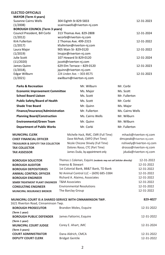# **ELECTED OFFICIALS**

**DEPUTY COURT CLERK**

| <b>MAYOR</b> (Term 4 years)           |                              |             |               |            |
|---------------------------------------|------------------------------|-------------|---------------|------------|
| Suzanne Cairns Wells                  | 304 Eighth St 829-5833       |             |               | 12-31-2023 |
| (1/2008)                              | scairnswells@riverton-nj.com |             |               |            |
| <b>BOROUGH COUNCIL (Term 3 years)</b> |                              |             |               |            |
| Council President, Bill Corbi         | 313 Thomas Ave. 829-2808     |             |               | 12-31-2024 |
| (1/2012)                              | wcorbi@riverton-nj.com       |             |               |            |
| Kirk Fullerton                        | 2 Thomas Ave. 499-2315       |             |               | 12-31-2022 |
| (1/2017)                              | kfullerton@riverton-nj.com   |             |               |            |
| Laura Major                           | 905 Main St-829-0120         |             |               | 12-31-2022 |
| (1/2019)                              | Imajor@riverton-nj.com       |             |               |            |
| Julie Scott                           | 107 Howard St 829-0120       |             |               | 12-31-2024 |
| (11/2020)                             | jscott@riverton-nj.com       |             |               |            |
| James Quinn                           | 629 Elm Terrace - 829-0120   |             |               | 12-31-2023 |
| $(1/2018)$ ,                          | jquinn@riverton-nj.com       |             |               |            |
| Edgar Wilburn                         | 224 Linden Ave. - 303-8575   |             |               | 12-31-2023 |
| (1/2021)                              | ewilburn@riverton-nj.com     |             |               |            |
| <b>Parks &amp; Recreation</b>         |                              | Mr. Wilburn | Mr. Corbi     |            |
|                                       |                              |             |               |            |
| <b>Economic Improvement Committee</b> |                              | Ms. Major   | Ms. Scott     |            |
| <b>School Board Liaison</b>           |                              | Ms. Scott   | Mr. Fullerton |            |
| <b>Public Safety/Board of Health</b>  |                              | Ms. Scott   | Mr. Corbi     |            |
|                                       |                              |             |               |            |

| <b>Public Safety/Board of Health</b> | Ms. Scott                           | Mr. Corbi             |
|--------------------------------------|-------------------------------------|-----------------------|
| <b>Shade Tree Board</b>              | Mr. Quinn                           | Ms. Major             |
| Finance/Insurance/Administration     | Mr. Fullerton                       | Ms. Cairns Wells      |
| <b>Planning Board/Construction</b>   | Ms. Cairns Wells                    | Mr. Wilburn           |
| <b>Environmental/Green Team</b>      | Mr. Quinn                           | Mr. Wilburn           |
| <b>Department of Public Works</b>    | Mr. Corbi                           | Mr. Fullerton         |
| <b>MUNICIPAL CLERK</b>               | Michelle Hack, RMC, CMR (Full Time) | mhack@riverton-nj.com |

| <b>CHIEF FINANCIAL OFFICER</b>              | Dave McPeak, CMFO (Part Time)      | dmcpeak@riverton-nj.com  |
|---------------------------------------------|------------------------------------|--------------------------|
| <b>TREASURER &amp; DEPUTY TAX COLLECTOR</b> | Nicole Chicone Shively (Full Time) | nshively@riverton-nj.com |
| <b>TAX COLLECTOR</b>                        | Dolores Rosso, CTC (Part Time)     | drosso@riverton-nj.com   |
| <b>TAX ASSESSOR</b>                         | James Duda, by appointment only    | jduda@riverton-nj.com    |
|                                             |                                    |                          |

| <b>BOROUGH SOLICITOR</b>          | Thomas J. Coleman, Esquire (residents may not call Solicitor directly) | 12-31-2022 |
|-----------------------------------|------------------------------------------------------------------------|------------|
| <b>BOROUGH AUDITOR</b>            | Inverso & Stewart                                                      | 12-31-2022 |
| <b>BOROUGH DEPOSITORIES</b>       | 1st Colonial Bank, BB&T Bank, TD Bank                                  | 12-31-2022 |
| <b>ANIMAL CONTROL OFFICER</b>     | NJ Animal Control LLC - (609) 685-3384                                 | 12-31-2022 |
| <b>BOROUGH ENGINEER</b>           | Richard A. Alaimo, Associates                                          | 12-31-2022 |
| SEWER TREATMENT PLANT ENGINEER    | <b>T&amp;M Associates</b>                                              | 12-31-2022 |
| <b>CONSULTING ENGINEER</b>        | <b>Environmental Resolutions</b>                                       | 12-31-2022 |
| <b>MUNICIPAL INSURANCE BROKER</b> | The Barclay Group                                                      | 12-31-2022 |

| 1621 Riverton Road, Cinnaminson Twp. | MUNICIPAL COURT IS A SHARED SERVICE WITH CINNAMINSON TWP. | 829-4027   |
|--------------------------------------|-----------------------------------------------------------|------------|
| <b>BOROUGH PROSECUTOR</b>            | Brandon Moles, Esquire                                    | 12-31-2022 |
| (Term 1 year)                        |                                                           |            |
| <b>BOROUGH PUBLIC DEFENDER</b>       | James Fattorini, Esquire                                  | 12-31-2022 |
| (Term 1 year)                        |                                                           |            |
| <b>MUNICIPAL COURT JUDGE</b>         | Corey E. Ahart, JMC                                       | 12-31-2024 |
| (Term 3 years)                       |                                                           |            |
| <b>COURT ADMINISTRATOR</b>           | Dana Aldrich, CMCA                                        | 12-31-2022 |
| <b>DEPUTY COURT CLERK</b>            | <b>Bridget Gentile</b>                                    | 12-31-2022 |

Bridget Gentile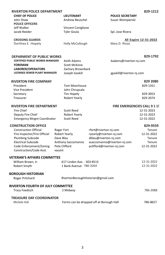|                      |                                                                                                                                                                                                                                                                                                                                       | 829-1212                                                                                                                                                                                                                                    |
|----------------------|---------------------------------------------------------------------------------------------------------------------------------------------------------------------------------------------------------------------------------------------------------------------------------------------------------------------------------------|---------------------------------------------------------------------------------------------------------------------------------------------------------------------------------------------------------------------------------------------|
| <b>LIEUTENANT</b>    | <b>POLICE SECRETARY</b>                                                                                                                                                                                                                                                                                                               |                                                                                                                                                                                                                                             |
|                      | Susan Wompierski                                                                                                                                                                                                                                                                                                                      |                                                                                                                                                                                                                                             |
|                      |                                                                                                                                                                                                                                                                                                                                       |                                                                                                                                                                                                                                             |
|                      |                                                                                                                                                                                                                                                                                                                                       |                                                                                                                                                                                                                                             |
| <b>Tyler Goula</b>   | Spl. Jose Rivera                                                                                                                                                                                                                                                                                                                      |                                                                                                                                                                                                                                             |
|                      |                                                                                                                                                                                                                                                                                                                                       | All Expire 12-31-2022                                                                                                                                                                                                                       |
|                      | Mary D. Rivas                                                                                                                                                                                                                                                                                                                         |                                                                                                                                                                                                                                             |
|                      |                                                                                                                                                                                                                                                                                                                                       | 829-1792                                                                                                                                                                                                                                    |
| <b>Keith Adams</b>   | kadams@riverton-nj.com                                                                                                                                                                                                                                                                                                                |                                                                                                                                                                                                                                             |
| <b>Scott McKone</b>  |                                                                                                                                                                                                                                                                                                                                       |                                                                                                                                                                                                                                             |
|                      |                                                                                                                                                                                                                                                                                                                                       |                                                                                                                                                                                                                                             |
| Joseph Gaskill       | jgaskill@riverton-nj.com                                                                                                                                                                                                                                                                                                              |                                                                                                                                                                                                                                             |
|                      |                                                                                                                                                                                                                                                                                                                                       | 829 2080                                                                                                                                                                                                                                    |
|                      |                                                                                                                                                                                                                                                                                                                                       | 829-1351                                                                                                                                                                                                                                    |
| John Chrupcala       |                                                                                                                                                                                                                                                                                                                                       |                                                                                                                                                                                                                                             |
| Tim Hopely           |                                                                                                                                                                                                                                                                                                                                       | 829-3053                                                                                                                                                                                                                                    |
| <b>Robert Yearly</b> |                                                                                                                                                                                                                                                                                                                                       | 829-2074                                                                                                                                                                                                                                    |
|                      |                                                                                                                                                                                                                                                                                                                                       | <b>FIRE EMERGENCIES CALL 9 1 1!</b>                                                                                                                                                                                                         |
| <b>Scott Reed</b>    |                                                                                                                                                                                                                                                                                                                                       | 12-31-2023                                                                                                                                                                                                                                  |
| <b>Robert Yearly</b> |                                                                                                                                                                                                                                                                                                                                       | 12-31-2023                                                                                                                                                                                                                                  |
| <b>Scott Reed</b>    |                                                                                                                                                                                                                                                                                                                                       | 12-31-2022                                                                                                                                                                                                                                  |
|                      |                                                                                                                                                                                                                                                                                                                                       | 829-9559                                                                                                                                                                                                                                    |
| Roger Fort           | rfort@riverton-nj.com                                                                                                                                                                                                                                                                                                                 | Tenure                                                                                                                                                                                                                                      |
| Robert Yearly        | ryearly@riverton-nj.com                                                                                                                                                                                                                                                                                                               | 12-31-2022                                                                                                                                                                                                                                  |
| Dave Blau            | dblau@riverton-nj.com                                                                                                                                                                                                                                                                                                                 | Tenure                                                                                                                                                                                                                                      |
| Anthony Saccomanno   | asaccomanno@riverton-nj.com                                                                                                                                                                                                                                                                                                           | Tenure                                                                                                                                                                                                                                      |
| Pete Clifford        | pclifford@riverton-nj.com                                                                                                                                                                                                                                                                                                             | 12-31-2022                                                                                                                                                                                                                                  |
| vacant               |                                                                                                                                                                                                                                                                                                                                       |                                                                                                                                                                                                                                             |
|                      |                                                                                                                                                                                                                                                                                                                                       |                                                                                                                                                                                                                                             |
|                      |                                                                                                                                                                                                                                                                                                                                       | 12-31-2022                                                                                                                                                                                                                                  |
|                      |                                                                                                                                                                                                                                                                                                                                       | 12-31-2022                                                                                                                                                                                                                                  |
|                      |                                                                                                                                                                                                                                                                                                                                       |                                                                                                                                                                                                                                             |
|                      |                                                                                                                                                                                                                                                                                                                                       |                                                                                                                                                                                                                                             |
|                      |                                                                                                                                                                                                                                                                                                                                       |                                                                                                                                                                                                                                             |
| 2 Midway             |                                                                                                                                                                                                                                                                                                                                       | 786-2088                                                                                                                                                                                                                                    |
|                      |                                                                                                                                                                                                                                                                                                                                       |                                                                                                                                                                                                                                             |
|                      |                                                                                                                                                                                                                                                                                                                                       | 786-8657                                                                                                                                                                                                                                    |
|                      | <b>RIVERTON POLICE DEPARTMENT</b><br><b>DEPARMENT OF PUBLIC WORKS</b><br><b>CERTIFIED PUBLIC WORKS MANAGER</b><br>LICENSED SEWER PLANT MANAGER<br><b>RIVERTON FIRE DEPARTMENT</b><br><b>Emergency Mngnt Coordinator</b><br><b>VETERAN'S AFFAIRS COMMITTEE</b><br>RIVERTON FOURTH OF JULY COMMITTEE<br><b>TREASURE DAY COORDINATOR</b> | Andrew Beuschel<br>Vincent Coniglione<br>Holly McCollough<br>Zachary Brownback<br>Tom Moorhouse<br>617 Linden Ave. - 303-8513<br>1 Bank Avenue - 786-3264<br>RivertonBoroughHistorian@gmail.com<br>Forms can be dropped off at Borough Hall |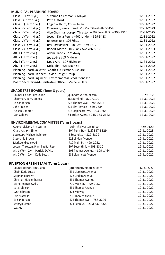# **MUNICIPAL PLANNING BOARD**

| Class I (Term 1 yr.)                        | Suzanne Cairns Wells, Mayor                                | 12-31-2022 |
|---------------------------------------------|------------------------------------------------------------|------------|
| Class II (Term 1 yr.)                       | Pete Clifford                                              | 12-31-2022 |
| Class III (Term 1 yr.)                      | Edgar Wilburn, Councilman                                  | 12-31-2022 |
| Class IV (Term 4 yr.)                       | Chairman, Kerry Brandt 719 Main Street-829-3154            | 12-31-2023 |
| Class IV (Term 4 yr.)                       | Vice Chairman Joseph Threston - 307 Seventh St. - 303-1310 | 12-31-2025 |
| Class IV (Term 4 yr.)                       | Joseph Della Penna -402 Linden - 829-5428                  | 12-31-2022 |
| Class IV (Term 4 yr.)                       | Rebecca Reis-306 7th St.                                   | 12-31-2022 |
| Class IV (Term 4 yr.)                       | Ray Paszkiewicz - 401 8th-- 829-1617                       | 12-31-2022 |
| Class IV (Term 4 yr.)                       | Robert Martin-103 Bank Ave 786-8617                        | 12-31-2023 |
| Alt. 1 (Term 2 yr.)                         | Adam Flade 202 Midway                                      | 12-31-2022 |
| Alt. 2 (Term 2 yr.)                         | Joe String 309 Midway                                      | 12-31-2022 |
| Alt. 3 (Term 2 yr.)                         | Doug Aird - 307 Highway                                    | 12-31-2023 |
| Alt. 4 (Term 2 yr.)                         | Nick Jabs - 626 Main St                                    | 12-31-2022 |
|                                             | Planning Board Solicitor: Charles D. Petrone, Esquire      | 12-31-2022 |
| Planning Board Planner: Taylor Design Group |                                                            | 12-31-2022 |
|                                             | Planning Board Engineer: Environmental Resolutions Inc     | 12-31-2022 |
|                                             | Board Secretary/Administrative Officer: Michelle Hack      | 12-31-2022 |

# **SHADE TREE BOARD (Term 3 years)**

| Council Liaison, Jim Quinn | jquinn@riverton-nj.com         | 829-0120   |
|----------------------------|--------------------------------|------------|
| Chairman, Barry Emens      | 18 Laurel Rd. - 829-0120       | 12-31-2023 |
| Ed Sanderson               | 626 Thomas Ave. -786-8206      | 12-31-2022 |
| John Frazier               | 635 Elm Terrace - 829-2684     | 12-31-2022 |
| Nelson Dimpter             | 616 Lippincott Ave. - 303-1865 | 12-31-2024 |
| Dan Colbert                | 6 Linden Avenue 215-365-2642   | 12-31-2024 |

# **ENVIRONMENTAL COMMITTEE (Term 3 years)**

| Council Liaison, Jim Quinn          | jquinn@riverton-nj.com        | 829-0120   |
|-------------------------------------|-------------------------------|------------|
| Chair, Kathryn Simon                | 304 Penn St. - (215) 837-8329 | 12-31-2023 |
| Secretary, Michael Robinson         | 6 Second St. - 829-8329       | 12-31-2022 |
| Stephanie Brown                     | 628 Linden Avenue             | 12-31-2022 |
| Mark Jendrzejewski                  | 710 Main St. -499-2052        | 12-31-2022 |
| Joseph Threston, Planning Bd. Rep.  | 307 Seventh St. - 303-1310    | 12-31-2022 |
| Alt. 1 (Term 2 yr.) Patricia DeVito | 103 Thomas Avenue. - 829-1464 | 12-31-2022 |
| Alt. 2 (Term 2 yr.) Katie Lucas     | 631 Lippincott Avenue         | 12-31-2022 |

# **RIVERTON GREEN TEAM (Term 1 year)**

| jquinn@riverton-nj.com        | 12-31-2022 |
|-------------------------------|------------|
| 631 Lippincott Avenue         | 12-31-2022 |
| 628 Linden Avenue             | 12-31-2022 |
| 431 Thomas Avenue             | 12-31-2022 |
| 710 Main St. - 499-2052       | 12-31-2022 |
| 431 Thomas Avenue             | 12-31-2022 |
| 303 Midway                    | 12-31-2022 |
| 710 Thomas Avenue             | 12-31-2022 |
| 626 Thomas Ave. - 786-8206    | 12-31-2022 |
| 304 Penn St. - (215) 837-8329 | 12-31-2022 |
|                               | 12-31-2022 |
|                               |            |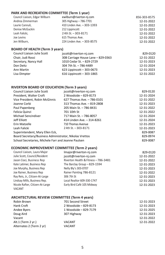# **PARK AND RECREATION COMMITTEE (Term 1 year)**

| Council Liaison, Edgar Wilburn | ewilburn@riverton-nj.com   | 856-303-8575 |
|--------------------------------|----------------------------|--------------|
| Andrea Zimmerman               | 305 Highway - 786-7701     | 12-31-2022   |
| Laurie Cannuli,                | 410 Linden Ave. - 303-1393 | 12-31-2022   |
| Denise McGuckin                | 212 Lippincott             | 12-31-2022   |
| Leah Falicki.                  | 24th St. - 303-8171        | 12-31-2022   |
| Joe Levins                     | 615 Thomas Ave.            | 12-31-2022   |
| Jen Wilburn.                   | 224 Linden Ave. - 303-8575 | 12-31-2022   |

# **BOARD OF HEALTH (Term 3 years)**

| Council Liaison Julie Scott | jscott@riverton-nj.com             | 829-0120   |
|-----------------------------|------------------------------------|------------|
| Chair, Judi Rossi           | 308 Carriage House Lane - 829-0363 | 12-31-2022 |
| Secretary, Nancy Hall       | 1010 Cedar St. - 829-2729          | 12-31-2023 |
| Don Deitz                   | 304 7th St. - 786-4489             | 12-31-2024 |
| Ann Martin                  | 623 Lippincott - 303-0673          | 12-31-2023 |
| Lisa Dimpter                | 616 Lippincott - 303-1865          | 12-31-2022 |

# **RIVERTON BOARD OF EDUCATION (Term 3 years)**

| Council Liaison Julie Scott                             | iscott@riverton-nj.com     | 829-0120   |
|---------------------------------------------------------|----------------------------|------------|
| President. Walter Croft                                 | 2 Woodside - 829-8173      | 12-31-2024 |
| Vice President, Robin McGinnis                          | 627 Thomas Ave. - 786-0101 | 12-31-2022 |
| Joanne Corbi                                            | 313 Thomas Ave. - 819-2808 | 12-31-2023 |
| Paul Papenberg                                          | 205 Main St. - 786-8431    | 12-31-2022 |
| Felicia Quinzi                                          | 701 10th St                | 12-31-2022 |
| Michael Sencindiver                                     | 717 Main St. - 786-8057    | 12-31-2024 |
| Jeff Elliott                                            | 414 Linden Ave. - 314-8261 | 12-31-2024 |
| Erin Matzelle                                           | 710 Thomas Avenue          | 12-31-2023 |
| Leah Falicki                                            | 2 4th St. - 303-8171       | 12-31-2023 |
| Superintendent, Mary Ellen Eck,                         |                            | 829-0087   |
| Board Secretary/Business Administrator, Nikolas Vrettos |                            | 829-0974   |
| School Secretaries, Michele Farr and Jeanne Paulsen     |                            | 829-0087   |

# **ECONOMIC IMPROVEMENT COMMITTEE (Term 2 years)**

| Council Liaison, Laura Major    | Imajor@riverton-nj.com             | 829-0120   |
|---------------------------------|------------------------------------|------------|
| Julie Scott, Council/Resident   | jscott@riverton-nj.com             | 12-31-2022 |
| Jason Cioci, Business Rep       | Riverton Health & Fitness-786-3481 | 12-31-2022 |
| Kate Latimer, Business Rep      | The Barclay Group - 829-1594       | 12-31-2023 |
| Joe Murphy, Business Rep        | Nelly Bly's 303-0707               | 12-31-2023 |
| Joe Rainer, Business Rep        | Rainer Painting 786-8121           | 12-31-2022 |
| Ray Reis, Jr., Citizen-At-Large | 306 7th St                         | 12-31-2023 |
| Lindsay Mills, Business Rep.    | Local Realtor 609-330-1747         | 12-31-2023 |
| Nicole Rafter, Citizen-At-Large | Early Bird Café 105 Midway         | 12-31-2023 |
| <b>VACANT</b>                   |                                    |            |

# **ARCHITECTURAL REVIEW COMMITTEE (Term 4 years)**

| Robin Brown              | 701 Second Street     | 12-31-2023 |
|--------------------------|-----------------------|------------|
| Hank Croft               | 2 Woodside - 829-8173 | 12-31-2023 |
| Andee Byers              | 1 Woodside - 829-7179 | 12-31-2025 |
| Doug Aird                | 307 Highway           | 12-31-2023 |
| Vacant                   |                       | 12-31-2022 |
| Alt.1 (Term 2 yr.)       | VACANT                | 12-31-2022 |
| Alternates 2 (Term 2 yr) | <b>VACANT</b>         |            |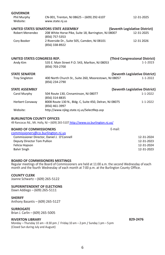| <b>GOVERNOR</b>             |                                                                           |                                |                                |
|-----------------------------|---------------------------------------------------------------------------|--------------------------------|--------------------------------|
| Phil Murphy                 | CN-001, Trenton, NJ 08625 - (609) 292-6107                                |                                | 12-31-2025                     |
| Website:                    | www.state.nj.us                                                           |                                |                                |
|                             | UNITED STATES SENATORS STATE ASSEMBLY                                     | (Seventh Legislative District) |                                |
| <b>Robert Menendez</b>      | 208 White Horse Pike, Suite 18, Barrington, NJ 08007<br>(856) 757-5353    |                                | 12-31-2025                     |
| Cory Booker                 | 2 Riverside Dr., Suite 505, Camden, NJ 08101<br>(856) 338-8922            |                                | 12-31 2026                     |
| UNITED STATES CONGRESS REP. |                                                                           | (Third Congressional District) |                                |
| Andy Kim                    | 535 E. Main Street P.O. 543, Marlton, NJ 08053<br>(856) 703-2700          |                                | $1 - 1 - 2023$                 |
| <b>STATE SENATOR</b>        |                                                                           |                                | (Seventh Legislative District) |
| <b>Troy Singleton</b>       | 400 North Church St., Suite 260, Moorestown, NJ 08057<br>(856) 234-2790   |                                | $1 - 1 - 2022$                 |
| <b>STATE ASSEMBLY</b>       |                                                                           |                                | (Seventh Legislative District) |
| Carol Murphy                | 504 Route 130, Cinnaminson, NJ 08077<br>(856) 314-8835                    |                                | $1 - 1 - 2022$                 |
| <b>Herbert Conaway</b>      | 8008 Route 130 N., Bldg. C, Suite 450, Delran, NJ 08075<br>(856) 461-3997 |                                | 1-1-2022                       |
| Website:                    | http://www.njleg.state.nj.us/SelectRep.asp                                |                                |                                |

#### **BURLINGTON COUNTY OFFICES**

49 Rancocas Rd., Mt. Holly, NJ - (609) 265-5107 <http://www.co.burlington.nj.us/>

| <b>BOARD OF COMMISSIONERS</b>              | E-mail:    |  |
|--------------------------------------------|------------|--|
| commissioners@co.burlington.nj.us          |            |  |
| Commissioner Director, Daniel J. O'Connell | 12-31-2024 |  |
| Deputy Director Tom Pullion                | 12-31-2023 |  |
| Felicia Hopson                             | 12-31-2024 |  |
| Balvir Singh                               | 12-31-2023 |  |
|                                            |            |  |

**BOARD OF COMMISIONERS MEETINGS**<br>Regular meetings of the Board of Commissioners are held at 11:00 a.m. the second Wednesday of each month and the fourth Wednesday of each month at 7:00 p.m. at the Burlington County Office.

#### **COUNTY CLERK**

Joanne Schwartz – (609) 265-5122

#### **SUPERINTENDENT OF ELECTIONS**

Dawn Addiego – (609) 265-5111

#### **SHERIFF**

Anthony Basantis – (609) 265-5127

#### **SURROGATE**

Brian J. Carlin – (609) 265-5005

#### **RIVERTON LIBRARY 829-2476**

Monday – Thursday 10 am – 8:30 pm / Friday 10 am – 2 pm / Sunday 1 pm – 5 pm (Closed Sun during July and August)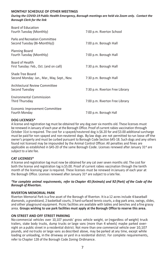# **MONTHLY SCHEDULE OF OTHER MEETINGS**

*During the COVID-19 Public Health Emergency, Borough meetings are held via Zoom only. Contact the Borough Clerk for the link*

| Board of Education<br>Fourth Tuesday (Monthly)                  | 7:00 p.m. Riverton School       |
|-----------------------------------------------------------------|---------------------------------|
| Parks and Recreation Committee<br>Second Tuesday (Bi-Monthly))  | 7:00 p.m. Borough Hall          |
| Planning Board<br>Fourth Tuesday (Monthly)                      | 7:00 p.m. Borough Hall          |
| Board of Health<br>First Tuesday: Feb., Oct. (and on call)      | 7:30 p.m. Borough Hall          |
| Shade Tree Board<br>Second Monday: Jan., Mar., May, Sept., Nov. | 7:30 p.m. Borough Hall          |
| Architectural Review Committee<br>Second Tuesday                | 7:30 p.m. Riverton Free Library |
| <b>Environmental Commission</b><br>Third Thursday               | 7:00 p.m. Riverton Free Library |
| Economic Improvement Committee<br>Fourth Monday                 | 7:00 p.m. Borough Hall          |
|                                                                 |                                 |

## **DOG LICENSES\***

A license and registration tag must be obtained for any dog over six months old. These licenses must be renewed in January of each year at the Borough Office. Proof of current rabies vaccination through October 31st is required. The cost for a spayed/neutered dog is \$6.20 for and \$3.00 additional surcharge must be paid for non-spayed and non-neutered dogs. By law dogs are not permitted to run loose off the owner's property and must be curbed pursuant to Borough Code Section §45-18. Such dogs and any others found not licensed may be impounded by the Animal Control Officer. All penalties and fines are applicable as established in §45-20 of the same Borough Code. Licenses renewed after January 31st are subject to a late fee.

#### **CAT LICENSES\***

A license and registration tag must now be obtained for any cat over seven months old. The cost for both the license and registration tag is \$5.00. Proof of current rabies vaccination through the tenth month of the licensing year is required. These licenses must be renewed in January of each year at the Borough Office. Licenses renewed after January  $31<sup>st</sup>$  are subject to a late fee.

#### *\*For complete animal requirements, refer to Chapter 45 (Animals) and 92 (Park) of the Code of the Borough of Riverton.*

#### **RIVERTON MEMORIAL PARK**

Riverton Memorial Park is a fine asset of the Borough of Riverton. Itis a 12 acres include 4 baseball diamonds, a grandstand, 2 basketball courts, 3 hard surfaced tennis courts, a dog park area, swings, slides, and other playground equipment. Picnic facilities are available with tables and benches and a fine grassy area. **Groups wishing to use park facilities must apply at the Borough Office to reserve this area.**

#### **ON STREET AND OFF STREET PARKING**

No commercial vehicles over 10,107 pounds' gross vehicle weight, or (regardless of weight) truck trailers, stake body trucks, dump trucks or large vans (more than 4 wheels) maybe parked overnight on a public street in a residential district. Not more than one commercial vehicle over 10,107 pounds, and no trucks orlarge vans as described above, may be parked at any time, except while loading or unloading, in the driveway or yard in a residential district. For complete requirements, refer to Chapter 128 of the Borough Code Zoning Ordinance.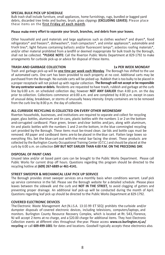#### **SPECIAL BULK PICK UP SCHEDULE**

Bulk trash shall include furniture, small appliances, home furnishings, rugs, bundled or bagged yard debris, discarded tree limbs and bushes, brush, grass clippings **(EXCLUDING LEAVES)**. Please place these items on the **first Friday of each month**.

## **Please make every effort to separate your brush, branches, and debris from your leaves.**

Other household and yard materials and large appliances such as clothes washers\* and dryers\*, food refrigerators\* and freezers\*, dishwashers\*, trash compactors\*, and similar appliances\*; automobile and truck tires\*; light fixtures containing ballasts and/or fluorescent lamps\*; asbestos roofing materials\*, and/or other material prohibited from a landfill or deemed inappropriate for bulk trash by the Borough, shall not be collected. **\*PLEASE NOTE:** Call the Riverton Public Works Department at 829-1792 to make arrangements for curbside pick-up or advice for disposal of these items.

## **TRASH AND GARBAGE COLLECTION 1x PER WEEK MONDAY**

from the curb line by 8:00 p.m. the day of collection.

#### Trash and garbage pick-up will be **one time per week each Monday**. The Borough has shifted to the use of automated carts. One cart has been provided to each property at no cost. Additional carts may be purchased from the Borough. No outside carts will be picked up. Rubbish that is too bulky to be placed in a proper receptacle will not picked up with regular collection. **The Borough will not accept or be responsible for any contractor waste or debris.** Residents are requested to have trash, rubbish and garbage atthe curb line by 6:00 a.m. on scheduled collection day; however **NOT ANY EARLIER** than 4:00 p.m. on the day prior to collection. Collections commence at 6:00 a.m. and are completed by 4:00 p.m. except in cases of unusual delay, breakdown, or storms of unusually heavy intensity. Empty containers are to be removed

# **ALL CURBSIDE RECYCLING IS COLLECTED ON EVERY OTHER WEDNESDAY**

Riverton households, businesses, and institutions are required to separate and collect for recycling paper, glass bottles, aluminum and tin cans, plastic bottles with the numbers 1 or 2 on the bottom and corrugated cardboard. Place green, brown and clear bottles and jars, along with aluminum, tin and plastic bottles with the numbers 1 and 2 onthe bottom, in the blue commingled recycling cart provided by the Borough. These items must be rinsed clean. Jarlids and bottle caps must be removed. All paper and cardboard items are to be placed in the blue cart. Flatten large boxes so everything fits. Set the blue cart out with the metal bar facing the street. These products are collected by the Burlington County Occupational Training Center (O.T.C.) and should be placed at the curb by 6:00 a.m. on collection **DAY BUT NOT EARLIER THAN 4:00 P.M. ON THE PRECEDING DAY.**

# **DISPOSAL OF PAINT CANS**

Unused latex and/or oil based paint cans can be brought to the Public Works Department. Please call Public Works for current drop off hours. Questions regarding this program should be directed to the recycling hotline at **(609) 267-6889 or 461-4141.**

# **STREET SWEEPER & MECHANICAL LEAF PICK UP SERVICE**

The Borough provides street sweeper services on a monthly basis when conditions warrant. Leaf pick up service commence in the fall. Please see the Borough website for a detailed schedule. Please place leaves between the sidewalk and the curb and **NOT IN THE STREET,** to avoid clogging of gutters and preventing proper drainage. An additional leaf pick-up will be conducted during the month of April. Questions regarding leaf pick up should be directed to the Public Works Department at 829-1792.

# **COVERED ELECTRONIC DEVICES**

The Electronic Waste Management Act (N.J.S.A. 13:1E-99 ET SEQ) prohibits the curbside and/or dumpster disposals of covered electronic devices, including televisions, computers/laptops, and monitors. Burlington County Resource Recovery Complex, which is located at Rt. 543, Florence, NJ will accept 2 items at no charge, and a \$20.00 charge for additional items. They host Electronic Collection events at different sites throughout the year. Please access **[www.co.burlington.nj.us/](http://www.co.burlington.nj.us/) recycling** or call **609-499-1001** for dates and locations. Goodwill typically accepts these electronics also.